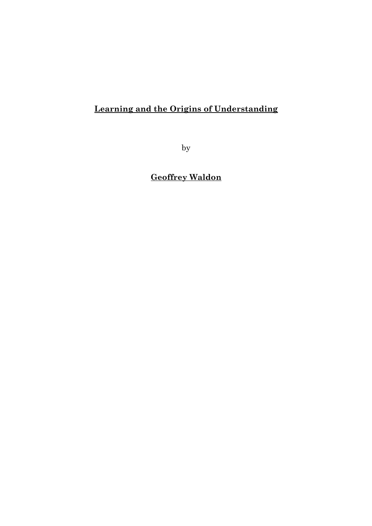# Learning and the Origins of Understanding

by

Geoffrey Waldon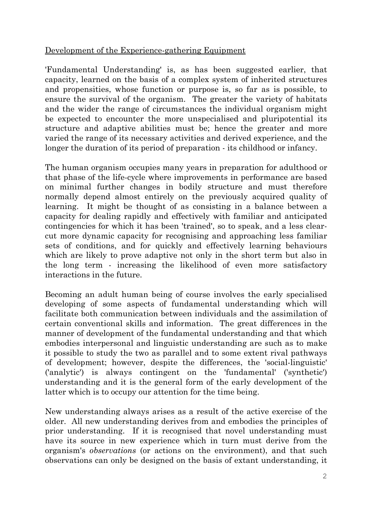# Development of the Experience-gathering Equipment

'Fundamental Understanding' is, as has been suggested earlier, that capacity, learned on the basis of a complex system of inherited structures and propensities, whose function or purpose is, so far as is possible, to ensure the survival of the organism. The greater the variety of habitats and the wider the range of circumstances the individual organism might be expected to encounter the more unspecialised and pluripotential its structure and adaptive abilities must be; hence the greater and more varied the range of its necessary activities and derived experience, and the longer the duration of its period of preparation - its childhood or infancy.

The human organism occupies many years in preparation for adulthood or that phase of the life-cycle where improvements in performance are based on minimal further changes in bodily structure and must therefore normally depend almost entirely on the previously acquired quality of learning. It might be thought of as consisting in a balance between a capacity for dealing rapidly and effectively with familiar and anticipated contingencies for which it has been 'trained', so to speak, and a less clearcut more dynamic capacity for recognising and approaching less familiar sets of conditions, and for quickly and effectively learning behaviours which are likely to prove adaptive not only in the short term but also in the long term - increasing the likelihood of even more satisfactory interactions in the future.

Becoming an adult human being of course involves the early specialised developing of some aspects of fundamental understanding which will facilitate both communication between individuals and the assimilation of certain conventional skills and information. The great differences in the manner of development of the fundamental understanding and that which embodies interpersonal and linguistic understanding are such as to make it possible to study the two as parallel and to some extent rival pathways of development; however, despite the differences, the 'social-linguistic' ('analytic') is always contingent on the 'fundamental' ('synthetic') understanding and it is the general form of the early development of the latter which is to occupy our attention for the time being.

New understanding always arises as a result of the active exercise of the older. All new understanding derives from and embodies the principles of prior understanding. If it is recognised that novel understanding must have its source in new experience which in turn must derive from the organism's observations (or actions on the environment), and that such observations can only be designed on the basis of extant understanding, it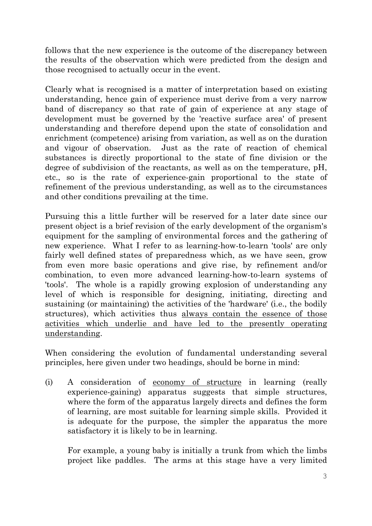follows that the new experience is the outcome of the discrepancy between the results of the observation which were predicted from the design and those recognised to actually occur in the event.

Clearly what is recognised is a matter of interpretation based on existing understanding, hence gain of experience must derive from a very narrow band of discrepancy so that rate of gain of experience at any stage of development must be governed by the 'reactive surface area' of present understanding and therefore depend upon the state of consolidation and enrichment (competence) arising from variation, as well as on the duration and vigour of observation. Just as the rate of reaction of chemical substances is directly proportional to the state of fine division or the degree of subdivision of the reactants, as well as on the temperature, pH, etc., so is the rate of experience-gain proportional to the state of refinement of the previous understanding, as well as to the circumstances and other conditions prevailing at the time.

Pursuing this a little further will be reserved for a later date since our present object is a brief revision of the early development of the organism's equipment for the sampling of environmental forces and the gathering of new experience. What I refer to as learning-how-to-learn 'tools' are only fairly well defined states of preparedness which, as we have seen, grow from even more basic operations and give rise, by refinement and/or combination, to even more advanced learning-how-to-learn systems of 'tools'. The whole is a rapidly growing explosion of understanding any level of which is responsible for designing, initiating, directing and sustaining (or maintaining) the activities of the 'hardware' (i.e., the bodily structures), which activities thus always contain the essence of those activities which underlie and have led to the presently operating understanding.

When considering the evolution of fundamental understanding several principles, here given under two headings, should be borne in mind:

(i) A consideration of economy of structure in learning (really experience-gaining) apparatus suggests that simple structures, where the form of the apparatus largely directs and defines the form of learning, are most suitable for learning simple skills. Provided it is adequate for the purpose, the simpler the apparatus the more satisfactory it is likely to be in learning.

 For example, a young baby is initially a trunk from which the limbs project like paddles. The arms at this stage have a very limited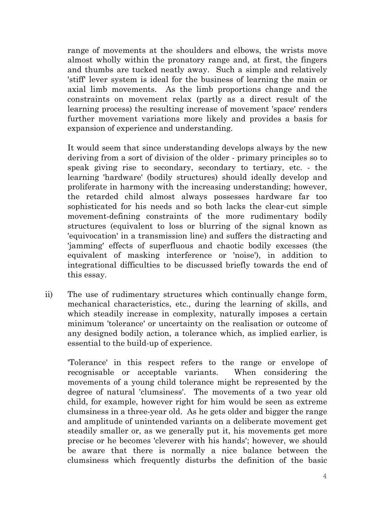range of movements at the shoulders and elbows, the wrists move almost wholly within the pronatory range and, at first, the fingers and thumbs are tucked neatly away. Such a simple and relatively 'stiff' lever system is ideal for the business of learning the main or axial limb movements. As the limb proportions change and the constraints on movement relax (partly as a direct result of the learning process) the resulting increase of movement 'space' renders further movement variations more likely and provides a basis for expansion of experience and understanding.

 It would seem that since understanding develops always by the new deriving from a sort of division of the older - primary principles so to speak giving rise to secondary, secondary to tertiary, etc. - the learning 'hardware' (bodily structures) should ideally develop and proliferate in harmony with the increasing understanding; however, the retarded child almost always possesses hardware far too sophisticated for his needs and so both lacks the clear-cut simple movement-defining constraints of the more rudimentary bodily structures (equivalent to loss or blurring of the signal known as 'equivocation' in a transmission line) and suffers the distracting and 'jamming' effects of superfluous and chaotic bodily excesses (the equivalent of masking interference or 'noise'), in addition to integrational difficulties to be discussed briefly towards the end of this essay.

ii) The use of rudimentary structures which continually change form, mechanical characteristics, etc., during the learning of skills, and which steadily increase in complexity, naturally imposes a certain minimum 'tolerance' or uncertainty on the realisation or outcome of any designed bodily action, a tolerance which, as implied earlier, is essential to the build-up of experience.

'Tolerance' in this respect refers to the range or envelope of recognisable or acceptable variants. When considering the movements of a young child tolerance might be represented by the degree of natural 'clumsiness'. The movements of a two year old child, for example, however right for him would be seen as extreme clumsiness in a three-year old. As he gets older and bigger the range and amplitude of unintended variants on a deliberate movement get steadily smaller or, as we generally put it, his movements get more precise or he becomes 'cleverer with his hands'; however, we should be aware that there is normally a nice balance between the clumsiness which frequently disturbs the definition of the basic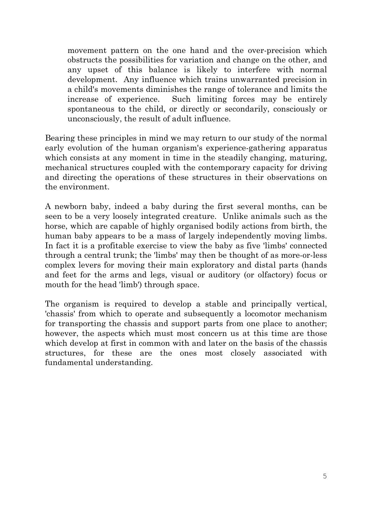movement pattern on the one hand and the over-precision which obstructs the possibilities for variation and change on the other, and any upset of this balance is likely to interfere with normal development. Any influence which trains unwarranted precision in a child's movements diminishes the range of tolerance and limits the increase of experience. Such limiting forces may be entirely spontaneous to the child, or directly or secondarily, consciously or unconsciously, the result of adult influence.

Bearing these principles in mind we may return to our study of the normal early evolution of the human organism's experience-gathering apparatus which consists at any moment in time in the steadily changing, maturing, mechanical structures coupled with the contemporary capacity for driving and directing the operations of these structures in their observations on the environment.

A newborn baby, indeed a baby during the first several months, can be seen to be a very loosely integrated creature. Unlike animals such as the horse, which are capable of highly organised bodily actions from birth, the human baby appears to be a mass of largely independently moving limbs. In fact it is a profitable exercise to view the baby as five 'limbs' connected through a central trunk; the 'limbs' may then be thought of as more-or-less complex levers for moving their main exploratory and distal parts (hands and feet for the arms and legs, visual or auditory (or olfactory) focus or mouth for the head 'limb') through space.

The organism is required to develop a stable and principally vertical, 'chassis' from which to operate and subsequently a locomotor mechanism for transporting the chassis and support parts from one place to another; however, the aspects which must most concern us at this time are those which develop at first in common with and later on the basis of the chassis structures, for these are the ones most closely associated with fundamental understanding.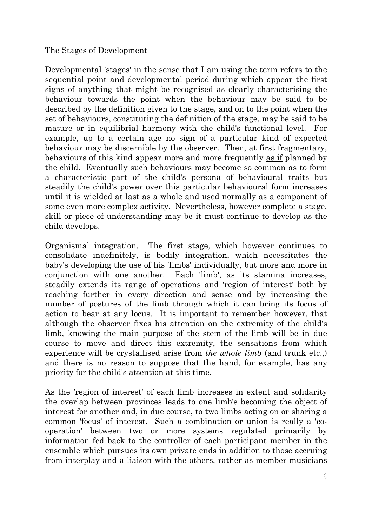#### The Stages of Development

Developmental 'stages' in the sense that I am using the term refers to the sequential point and developmental period during which appear the first signs of anything that might be recognised as clearly characterising the behaviour towards the point when the behaviour may be said to be described by the definition given to the stage, and on to the point when the set of behaviours, constituting the definition of the stage, may be said to be mature or in equilibrial harmony with the child's functional level. For example, up to a certain age no sign of a particular kind of expected behaviour may be discernible by the observer. Then, at first fragmentary, behaviours of this kind appear more and more frequently as if planned by the child. Eventually such behaviours may become so common as to form a characteristic part of the child's persona of behavioural traits but steadily the child's power over this particular behavioural form increases until it is wielded at last as a whole and used normally as a component of some even more complex activity. Nevertheless, however complete a stage, skill or piece of understanding may be it must continue to develop as the child develops.

Organismal integration. The first stage, which however continues to consolidate indefinitely, is bodily integration, which necessitates the baby's developing the use of his 'limbs' individually, but more and more in conjunction with one another. Each 'limb', as its stamina increases, steadily extends its range of operations and 'region of interest' both by reaching further in every direction and sense and by increasing the number of postures of the limb through which it can bring its focus of action to bear at any locus. It is important to remember however, that although the observer fixes his attention on the extremity of the child's limb, knowing the main purpose of the stem of the limb will be in due course to move and direct this extremity, the sensations from which experience will be crystallised arise from the whole limb (and trunk etc.) and there is no reason to suppose that the hand, for example, has any priority for the child's attention at this time.

As the 'region of interest' of each limb increases in extent and solidarity the overlap between provinces leads to one limb's becoming the object of interest for another and, in due course, to two limbs acting on or sharing a common 'focus' of interest. Such a combination or union is really a 'cooperation' between two or more systems regulated primarily by information fed back to the controller of each participant member in the ensemble which pursues its own private ends in addition to those accruing from interplay and a liaison with the others, rather as member musicians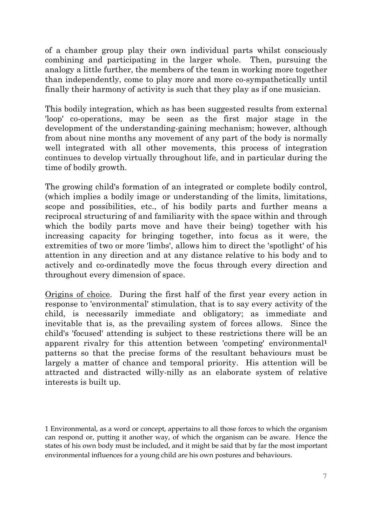of a chamber group play their own individual parts whilst consciously combining and participating in the larger whole. Then, pursuing the analogy a little further, the members of the team in working more together than independently, come to play more and more co-sympathetically until finally their harmony of activity is such that they play as if one musician.

This bodily integration, which as has been suggested results from external 'loop' co-operations, may be seen as the first major stage in the development of the understanding-gaining mechanism; however, although from about nine months any movement of any part of the body is normally well integrated with all other movements, this process of integration continues to develop virtually throughout life, and in particular during the time of bodily growth.

The growing child's formation of an integrated or complete bodily control, (which implies a bodily image or understanding of the limits, limitations, scope and possibilities, etc., of his bodily parts and further means a reciprocal structuring of and familiarity with the space within and through which the bodily parts move and have their being) together with his increasing capacity for bringing together, into focus as it were, the extremities of two or more 'limbs', allows him to direct the 'spotlight' of his attention in any direction and at any distance relative to his body and to actively and co-ordinatedly move the focus through every direction and throughout every dimension of space.

Origins of choice. During the first half of the first year every action in response to 'environmental' stimulation, that is to say every activity of the child, is necessarily immediate and obligatory; as immediate and inevitable that is, as the prevailing system of forces allows. Since the child's 'focused' attending is subject to these restrictions there will be an apparent rivalry for this attention between 'competing' environmental<sup>1</sup> patterns so that the precise forms of the resultant behaviours must be largely a matter of chance and temporal priority. His attention will be attracted and distracted willy-nilly as an elaborate system of relative interests is built up.

<sup>1</sup> Environmental, as a word or concept, appertains to all those forces to which the organism can respond or, putting it another way, of which the organism can be aware. Hence the states of his own body must be included, and it might be said that by far the most important environmental influences for a young child are his own postures and behaviours.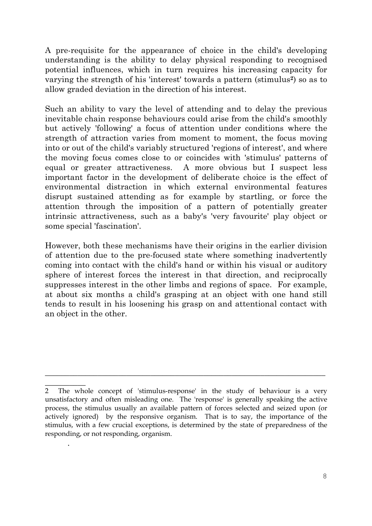A pre-requisite for the appearance of choice in the child's developing understanding is the ability to delay physical responding to recognised potential influences, which in turn requires his increasing capacity for varying the strength of his 'interest' towards a pattern (stimulus<sup>2</sup>) so as to allow graded deviation in the direction of his interest.

Such an ability to vary the level of attending and to delay the previous inevitable chain response behaviours could arise from the child's smoothly but actively 'following' a focus of attention under conditions where the strength of attraction varies from moment to moment, the focus moving into or out of the child's variably structured 'regions of interest', and where the moving focus comes close to or coincides with 'stimulus' patterns of equal or greater attractiveness. A more obvious but I suspect less important factor in the development of deliberate choice is the effect of environmental distraction in which external environmental features disrupt sustained attending as for example by startling, or force the attention through the imposition of a pattern of potentially greater intrinsic attractiveness, such as a baby's 'very favourite' play object or some special 'fascination'.

However, both these mechanisms have their origins in the earlier division of attention due to the pre-focused state where something inadvertently coming into contact with the child's hand or within his visual or auditory sphere of interest forces the interest in that direction, and reciprocally suppresses interest in the other limbs and regions of space. For example, at about six months a child's grasping at an object with one hand still tends to result in his loosening his grasp on and attentional contact with an object in the other.

.

 $\overline{a_1}$  , and the contribution of the contribution of the contribution of the contribution of the contribution of the contribution of the contribution of the contribution of the contribution of the contribution of the

 $\frac{1}{\sqrt{2}}$ 2 The whole concept of 'stimulus-response' in the study of behaviour is a very unsatisfactory and often misleading one. The 'response' is generally speaking the active process, the stimulus usually an available pattern of forces selected and seized upon (or actively ignored) by the responsive organism. That is to say, the importance of the stimulus, with a few crucial exceptions, is determined by the state of preparedness of the responding, or not responding, organism.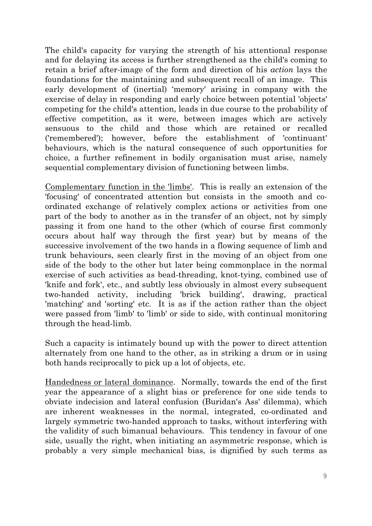The child's capacity for varying the strength of his attentional response and for delaying its access is further strengthened as the child's coming to retain a brief after-image of the form and direction of his action lays the foundations for the maintaining and subsequent recall of an image. This early development of (inertial) 'memory' arising in company with the exercise of delay in responding and early choice between potential 'objects' competing for the child's attention, leads in due course to the probability of effective competition, as it were, between images which are actively sensuous to the child and those which are retained or recalled ('remembered'); however, before the establishment of 'continuant' behaviours, which is the natural consequence of such opportunities for choice, a further refinement in bodily organisation must arise, namely sequential complementary division of functioning between limbs.

Complementary function in the 'limbs'. This is really an extension of the 'focusing' of concentrated attention but consists in the smooth and coordinated exchange of relatively complex actions or activities from one part of the body to another as in the transfer of an object, not by simply passing it from one hand to the other (which of course first commonly occurs about half way through the first year) but by means of the successive involvement of the two hands in a flowing sequence of limb and trunk behaviours, seen clearly first in the moving of an object from one side of the body to the other but later being commonplace in the normal exercise of such activities as bead-threading, knot-tying, combined use of 'knife and fork', etc., and subtly less obviously in almost every subsequent two-handed activity, including 'brick building', drawing, practical 'matching' and 'sorting' etc. It is as if the action rather than the object were passed from 'limb' to 'limb' or side to side, with continual monitoring through the head-limb.

Such a capacity is intimately bound up with the power to direct attention alternately from one hand to the other, as in striking a drum or in using both hands reciprocally to pick up a lot of objects, etc.

Handedness or lateral dominance. Normally, towards the end of the first year the appearance of a slight bias or preference for one side tends to obviate indecision and lateral confusion (Buridan's Ass' dilemma), which are inherent weaknesses in the normal, integrated, co-ordinated and largely symmetric two-handed approach to tasks, without interfering with the validity of such bimanual behaviours. This tendency in favour of one side, usually the right, when initiating an asymmetric response, which is probably a very simple mechanical bias, is dignified by such terms as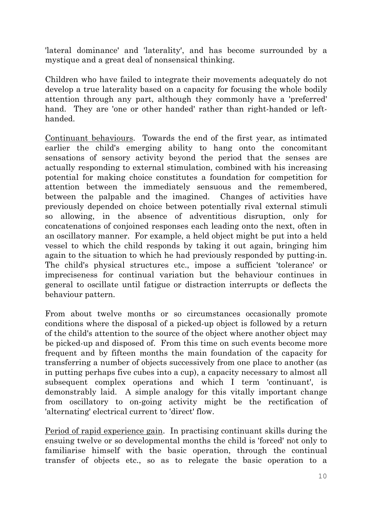'lateral dominance' and 'laterality', and has become surrounded by a mystique and a great deal of nonsensical thinking.

Children who have failed to integrate their movements adequately do not develop a true laterality based on a capacity for focusing the whole bodily attention through any part, although they commonly have a 'preferred' hand. They are 'one or other handed' rather than right-handed or lefthanded.

Continuant behaviours. Towards the end of the first year, as intimated earlier the child's emerging ability to hang onto the concomitant sensations of sensory activity beyond the period that the senses are actually responding to external stimulation, combined with his increasing potential for making choice constitutes a foundation for competition for attention between the immediately sensuous and the remembered, between the palpable and the imagined. Changes of activities have previously depended on choice between potentially rival external stimuli so allowing, in the absence of adventitious disruption, only for concatenations of conjoined responses each leading onto the next, often in an oscillatory manner. For example, a held object might be put into a held vessel to which the child responds by taking it out again, bringing him again to the situation to which he had previously responded by putting-in. The child's physical structures etc., impose a sufficient 'tolerance' or impreciseness for continual variation but the behaviour continues in general to oscillate until fatigue or distraction interrupts or deflects the behaviour pattern.

From about twelve months or so circumstances occasionally promote conditions where the disposal of a picked-up object is followed by a return of the child's attention to the source of the object where another object may be picked-up and disposed of. From this time on such events become more frequent and by fifteen months the main foundation of the capacity for transferring a number of objects successively from one place to another (as in putting perhaps five cubes into a cup), a capacity necessary to almost all subsequent complex operations and which I term 'continuant', is demonstrably laid. A simple analogy for this vitally important change from oscillatory to on-going activity might be the rectification of 'alternating' electrical current to 'direct' flow.

Period of rapid experience gain. In practising continuant skills during the ensuing twelve or so developmental months the child is 'forced' not only to familiarise himself with the basic operation, through the continual transfer of objects etc., so as to relegate the basic operation to a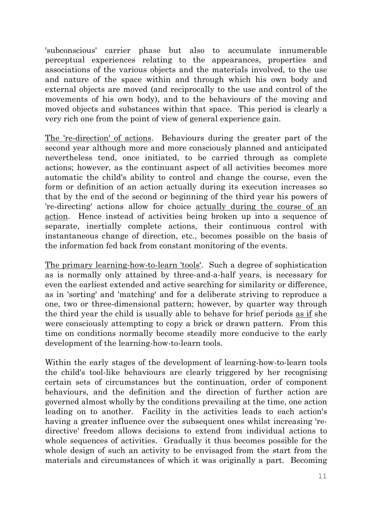'subconscious' carrier phase but also to accumulate innumerable perceptual experiences relating to the appearances, properties and associations of the various objects and the materials involved, to the use and nature of the space within and through which his own body and external objects are moved (and reciprocally to the use and control of the movements of his own body), and to the behaviours of the moving and moved objects and substances within that space. This period is clearly a very rich one from the point of view of general experience gain.

The 're-direction' of actions. Behaviours during the greater part of the second year although more and more consciously planned and anticipated nevertheless tend, once initiated, to be carried through as complete actions; however, as the continuant aspect of all activities becomes more automatic the child's ability to control and change the course, even the form or definition of an action actually during its execution increases so that by the end of the second or beginning of the third year his powers of 're-directing' actions allow for choice actually during the course of an action. Hence instead of activities being broken up into a sequence of separate, inertially complete actions, their continuous control with instantaneous change of direction, etc., becomes possible on the basis of the information fed back from constant monitoring of the events.

The primary learning-how-to-learn 'tools'. Such a degree of sophistication as is normally only attained by three-and-a-half years, is necessary for even the earliest extended and active searching for similarity or difference, as in 'sorting' and 'matching' and for a deliberate striving to reproduce a one, two or three-dimensional pattern; however, by quarter way through the third year the child is usually able to behave for brief periods as if she were consciously attempting to copy a brick or drawn pattern. From this time on conditions normally become steadily more conducive to the early development of the learning-how-to-learn tools.

Within the early stages of the development of learning-how-to-learn tools the child's tool-like behaviours are clearly triggered by her recognising certain sets of circumstances but the continuation, order of component behaviours, and the definition and the direction of further action are governed almost wholly by the conditions prevailing at the time, one action leading on to another. Facility in the activities leads to each action's having a greater influence over the subsequent ones whilst increasing 'redirective' freedom allows decisions to extend from individual actions to whole sequences of activities. Gradually it thus becomes possible for the whole design of such an activity to be envisaged from the start from the materials and circumstances of which it was originally a part. Becoming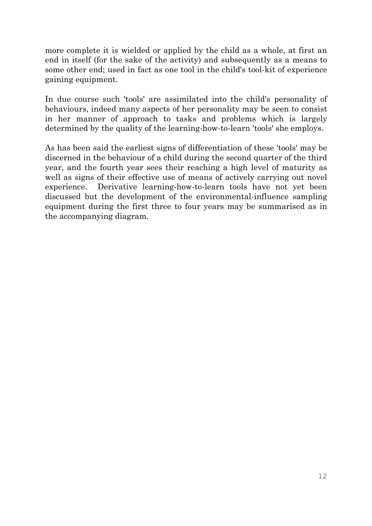more complete it is wielded or applied by the child as a whole, at first an end in itself (for the sake of the activity) and subsequently as a means to some other end; used in fact as one tool in the child's tool-kit of experience gaining equipment.

In due course such 'tools' are assimilated into the child's personality of behaviours, indeed many aspects of her personality may be seen to consist in her manner of approach to tasks and problems which is largely determined by the quality of the learning-how-to-learn 'tools' she employs.

As has been said the earliest signs of differentiation of these 'tools' may be discerned in the behaviour of a child during the second quarter of the third year, and the fourth year sees their reaching a high level of maturity as well as signs of their effective use of means of actively carrying out novel experience. Derivative learning-how-to-learn tools have not yet been discussed but the development of the environmental-influence sampling equipment during the first three to four years may be summarised as in the accompanying diagram.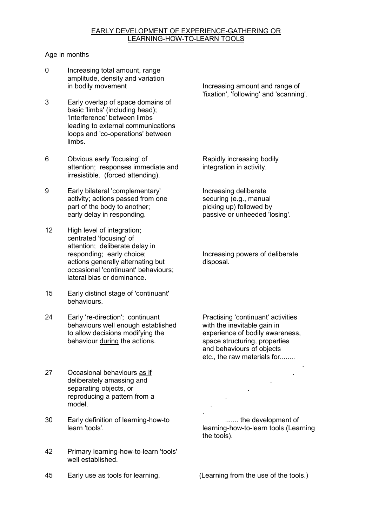#### EARLY DEVELOPMENT OF EXPERIENCE-GATHERING OR LEARNING-HOW-TO-LEARN TOOLS

#### Age in months

- 0 Increasing total amount, range amplitude, density and variation
- Early overlap of space domains of basic 'limbs' (including head); 'Interference' between limbs leading to external communications loops and 'co-operations' between limb<sub>s</sub>
- 6 Obvious early 'focusing' of Rapidly increasing bodily attention; responses immediate and integration in activity. irresistible. (forced attending).
- 9 Early bilateral 'complementary' Increasing deliberate activity; actions passed from one securing (e.g., manual part of the body to another; picking up) followed by early delay in responding. passive or unheeded 'losing'.
- 12 High level of integration; centrated 'focusing' of attention; deliberate delay in<br>responding; early choice; actions generally alternating but disposal. occasional 'continuant' behaviours; lateral bias or dominance.
- 15 Early distinct stage of 'continuant' behaviours.
- 24 Early 're-direction'; continuant Practising 'continuant' activities<br>behaviours well enough established with the inevitable gain in behaviours well enough established with the inevitable gain in<br>to allow decisions modifying the experience of bodily awareness, to allow decisions modifying the behaviour during the actions.
- . 27 Occasional behaviours as if deliberately amassing and separating objects, or . reproducing a pattern from a **contract of the set of the set of the set of the set of the set of the set of the set of the set of the set of the set of the set of the set of the set of the set of the set of the set of the** model. **Example 20** in the set of the set of the set of the set of the set of the set of the set of the set of the set of the set of the set of the set of the set of the set of the set of the set of the set of the set of t
- 30 Early definition of learning-how-to ....... the development of learning-how-to<br>learning-how-to-learn tools (Learning-how-to-learning)

.

- 42 Primary learning-how-to-learn 'tools' well established.
- 45 Early use as tools for learning. (Learning from the use of the tools.)

in bodily movement **Increasing amount and range of** 'fixation', 'following' and 'scanning'.

Increasing powers of deliberate

space structuring, properties. and behaviours of objects etc., the raw materials for........

learning-how-to-learn tools (Learning the tools).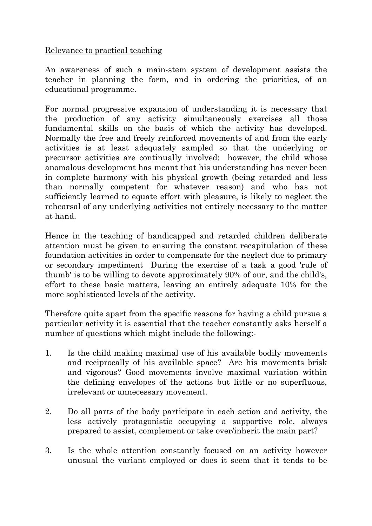Relevance to practical teaching

An awareness of such a main-stem system of development assists the teacher in planning the form, and in ordering the priorities, of an educational programme.

For normal progressive expansion of understanding it is necessary that the production of any activity simultaneously exercises all those fundamental skills on the basis of which the activity has developed. Normally the free and freely reinforced movements of and from the early activities is at least adequately sampled so that the underlying or precursor activities are continually involved; however, the child whose anomalous development has meant that his understanding has never been in complete harmony with his physical growth (being retarded and less than normally competent for whatever reason) and who has not sufficiently learned to equate effort with pleasure, is likely to neglect the rehearsal of any underlying activities not entirely necessary to the matter at hand.

Hence in the teaching of handicapped and retarded children deliberate attention must be given to ensuring the constant recapitulation of these foundation activities in order to compensate for the neglect due to primary or secondary impediment During the exercise of a task a good 'rule of thumb' is to be willing to devote approximately 90% of our, and the child's, effort to these basic matters, leaving an entirely adequate 10% for the more sophisticated levels of the activity.

Therefore quite apart from the specific reasons for having a child pursue a particular activity it is essential that the teacher constantly asks herself a number of questions which might include the following:-

- 1. Is the child making maximal use of his available bodily movements and reciprocally of his available space? Are his movements brisk and vigorous? Good movements involve maximal variation within the defining envelopes of the actions but little or no superfluous, irrelevant or unnecessary movement.
- 2. Do all parts of the body participate in each action and activity, the less actively protagonistic occupying a supportive role, always prepared to assist, complement or take over/inherit the main part?
- 3. Is the whole attention constantly focused on an activity however unusual the variant employed or does it seem that it tends to be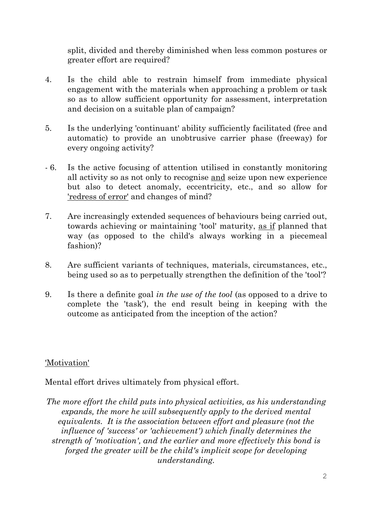split, divided and thereby diminished when less common postures or greater effort are required?

- 4. Is the child able to restrain himself from immediate physical engagement with the materials when approaching a problem or task so as to allow sufficient opportunity for assessment, interpretation and decision on a suitable plan of campaign?
- 5. Is the underlying 'continuant' ability sufficiently facilitated (free and automatic) to provide an unobtrusive carrier phase (freeway) for every ongoing activity?
- 6. Is the active focusing of attention utilised in constantly monitoring all activity so as not only to recognise and seize upon new experience but also to detect anomaly, eccentricity, etc., and so allow for 'redress of error' and changes of mind?
- 7. Are increasingly extended sequences of behaviours being carried out, towards achieving or maintaining 'tool' maturity, as if planned that way (as opposed to the child's always working in a piecemeal fashion)?
- 8. Are sufficient variants of techniques, materials, circumstances, etc., being used so as to perpetually strengthen the definition of the 'tool'?
- 9. Is there a definite goal in the use of the tool (as opposed to a drive to complete the 'task'), the end result being in keeping with the outcome as anticipated from the inception of the action?

## 'Motivation'

Mental effort drives ultimately from physical effort.

The more effort the child puts into physical activities, as his understanding expands, the more he will subsequently apply to the derived mental equivalents. It is the association between effort and pleasure (not the influence of 'success' or 'achievement') which finally determines the strength of 'motivation', and the earlier and more effectively this bond is forged the greater will be the child's implicit scope for developing understanding.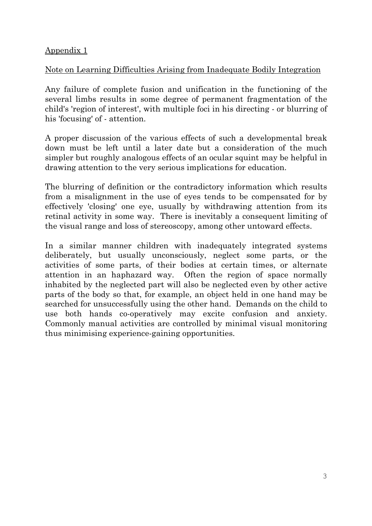#### Appendix 1

# Note on Learning Difficulties Arising from Inadequate Bodily Integration

Any failure of complete fusion and unification in the functioning of the several limbs results in some degree of permanent fragmentation of the child's 'region of interest', with multiple foci in his directing - or blurring of his 'focusing' of - attention.

A proper discussion of the various effects of such a developmental break down must be left until a later date but a consideration of the much simpler but roughly analogous effects of an ocular squint may be helpful in drawing attention to the very serious implications for education.

The blurring of definition or the contradictory information which results from a misalignment in the use of eyes tends to be compensated for by effectively 'closing' one eye, usually by withdrawing attention from its retinal activity in some way. There is inevitably a consequent limiting of the visual range and loss of stereoscopy, among other untoward effects.

In a similar manner children with inadequately integrated systems deliberately, but usually unconsciously, neglect some parts, or the activities of some parts, of their bodies at certain times, or alternate attention in an haphazard way. Often the region of space normally inhabited by the neglected part will also be neglected even by other active parts of the body so that, for example, an object held in one hand may be searched for unsuccessfully using the other hand. Demands on the child to use both hands co-operatively may excite confusion and anxiety. Commonly manual activities are controlled by minimal visual monitoring thus minimising experience-gaining opportunities.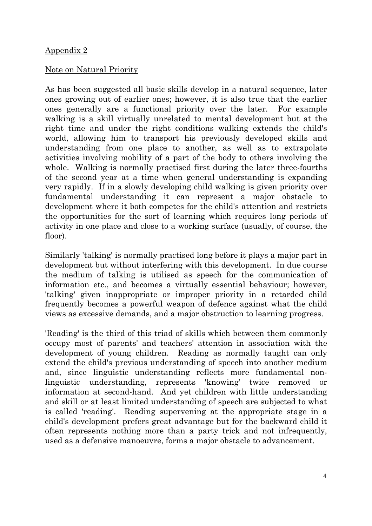#### Appendix 2

## Note on Natural Priority

As has been suggested all basic skills develop in a natural sequence, later ones growing out of earlier ones; however, it is also true that the earlier ones generally are a functional priority over the later. For example walking is a skill virtually unrelated to mental development but at the right time and under the right conditions walking extends the child's world, allowing him to transport his previously developed skills and understanding from one place to another, as well as to extrapolate activities involving mobility of a part of the body to others involving the whole. Walking is normally practised first during the later three-fourths of the second year at a time when general understanding is expanding very rapidly. If in a slowly developing child walking is given priority over fundamental understanding it can represent a major obstacle to development where it both competes for the child's attention and restricts the opportunities for the sort of learning which requires long periods of activity in one place and close to a working surface (usually, of course, the floor).

Similarly 'talking' is normally practised long before it plays a major part in development but without interfering with this development. In due course the medium of talking is utilised as speech for the communication of information etc., and becomes a virtually essential behaviour; however, 'talking' given inappropriate or improper priority in a retarded child frequently becomes a powerful weapon of defence against what the child views as excessive demands, and a major obstruction to learning progress.

'Reading' is the third of this triad of skills which between them commonly occupy most of parents' and teachers' attention in association with the development of young children. Reading as normally taught can only extend the child's previous understanding of speech into another medium and, since linguistic understanding reflects more fundamental nonlinguistic understanding, represents 'knowing' twice removed or information at second-hand. And yet children with little understanding and skill or at least limited understanding of speech are subjected to what is called 'reading'. Reading supervening at the appropriate stage in a child's development prefers great advantage but for the backward child it often represents nothing more than a party trick and not infrequently, used as a defensive manoeuvre, forms a major obstacle to advancement.